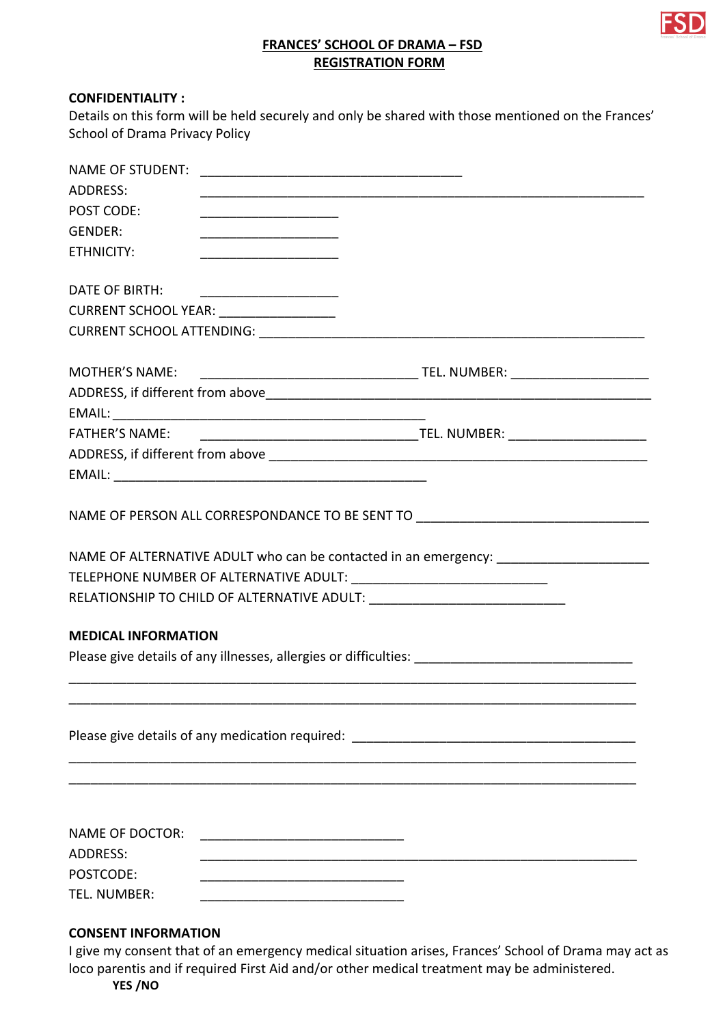

# **FRANCES' SCHOOL OF DRAMA – FSD REGISTRATION FORM**

#### **CONFIDENTIALITY:**

| Details on this form will be held securely and only be shared with those mentioned on the Frances' |
|----------------------------------------------------------------------------------------------------|
| School of Drama Privacy Policy                                                                     |

| <b>NAME OF STUDENT:</b>    |                                         |                                                                                                      |  |
|----------------------------|-----------------------------------------|------------------------------------------------------------------------------------------------------|--|
| ADDRESS:                   |                                         |                                                                                                      |  |
| POST CODE:                 |                                         |                                                                                                      |  |
| <b>GENDER:</b>             |                                         |                                                                                                      |  |
| ETHNICITY:                 |                                         |                                                                                                      |  |
|                            |                                         |                                                                                                      |  |
| DATE OF BIRTH:             |                                         |                                                                                                      |  |
|                            | CURRENT SCHOOL YEAR: __________________ |                                                                                                      |  |
|                            |                                         |                                                                                                      |  |
|                            |                                         |                                                                                                      |  |
| <b>MOTHER'S NAME:</b>      |                                         |                                                                                                      |  |
|                            |                                         |                                                                                                      |  |
|                            |                                         |                                                                                                      |  |
| <b>FATHER'S NAME:</b>      |                                         |                                                                                                      |  |
|                            |                                         |                                                                                                      |  |
|                            |                                         |                                                                                                      |  |
|                            |                                         | NAME OF ALTERNATIVE ADULT who can be contacted in an emergency: _________________                    |  |
|                            |                                         |                                                                                                      |  |
|                            |                                         |                                                                                                      |  |
|                            |                                         |                                                                                                      |  |
| <b>MEDICAL INFORMATION</b> |                                         |                                                                                                      |  |
|                            |                                         | Please give details of any illnesses, allergies or difficulties: ___________________________________ |  |
|                            |                                         |                                                                                                      |  |
|                            |                                         |                                                                                                      |  |
|                            |                                         | Please give details of any medication required: _________________________________                    |  |
|                            |                                         |                                                                                                      |  |
|                            |                                         |                                                                                                      |  |
|                            |                                         |                                                                                                      |  |
|                            |                                         |                                                                                                      |  |
| <b>NAME OF DOCTOR:</b>     |                                         |                                                                                                      |  |
| <b>ADDRESS:</b>            |                                         |                                                                                                      |  |
| POSTCODE:                  |                                         |                                                                                                      |  |
| TEL. NUMBER:               |                                         |                                                                                                      |  |
|                            |                                         |                                                                                                      |  |

### **CONSENT INFORMATION**

I give my consent that of an emergency medical situation arises, Frances' School of Drama may act as loco parentis and if required First Aid and/or other medical treatment may be administered. **YES /NO**